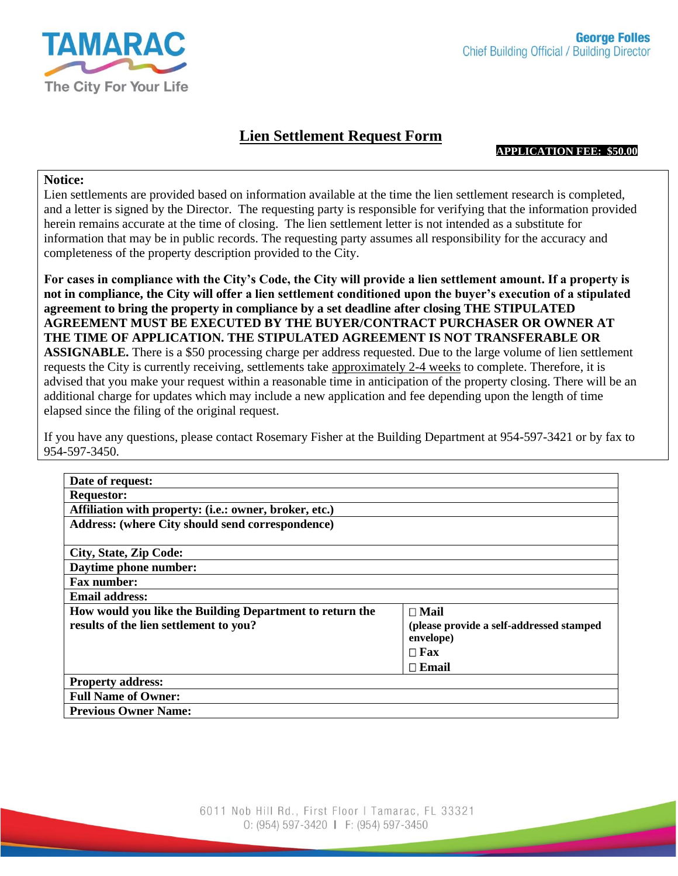

## **Lien Settlement Request Form**

**APPLICATION FEE: \$50.00**

## **Notice:**

Lien settlements are provided based on information available at the time the lien settlement research is completed, and a letter is signed by the Director. The requesting party is responsible for verifying that the information provided herein remains accurate at the time of closing. The lien settlement letter is not intended as a substitute for information that may be in public records. The requesting party assumes all responsibility for the accuracy and completeness of the property description provided to the City.

**For cases in compliance with the City's Code, the City will provide a lien settlement amount. If a property is not in compliance, the City will offer a lien settlement conditioned upon the buyer's execution of a stipulated agreement to bring the property in compliance by a set deadline after closing THE STIPULATED AGREEMENT MUST BE EXECUTED BY THE BUYER/CONTRACT PURCHASER OR OWNER AT THE TIME OF APPLICATION. THE STIPULATED AGREEMENT IS NOT TRANSFERABLE OR ASSIGNABLE.** There is a \$50 processing charge per address requested. Due to the large volume of lien settlement requests the City is currently receiving, settlements take approximately 2-4 weeks to complete. Therefore, it is advised that you make your request within a reasonable time in anticipation of the property closing. There will be an additional charge for updates which may include a new application and fee depending upon the length of time elapsed since the filing of the original request.

If you have any questions, please contact Rosemary Fisher at the Building Department at 954-597-3421 or by fax to 954-597-3450.

| Date of request:                                         |                                                       |  |
|----------------------------------------------------------|-------------------------------------------------------|--|
| <b>Requestor:</b>                                        |                                                       |  |
| Affiliation with property: (i.e.: owner, broker, etc.)   |                                                       |  |
| Address: (where City should send correspondence)         |                                                       |  |
|                                                          |                                                       |  |
| City, State, Zip Code:                                   |                                                       |  |
| Daytime phone number:                                    |                                                       |  |
| <b>Fax number:</b>                                       |                                                       |  |
| <b>Email address:</b>                                    |                                                       |  |
| How would you like the Building Department to return the | $\Box$ Mail                                           |  |
| results of the lien settlement to you?                   | (please provide a self-addressed stamped<br>envelope) |  |
|                                                          | $\Box$ Fax                                            |  |
|                                                          | $\Box$ Email                                          |  |
| <b>Property address:</b>                                 |                                                       |  |
| <b>Full Name of Owner:</b>                               |                                                       |  |
| <b>Previous Owner Name:</b>                              |                                                       |  |